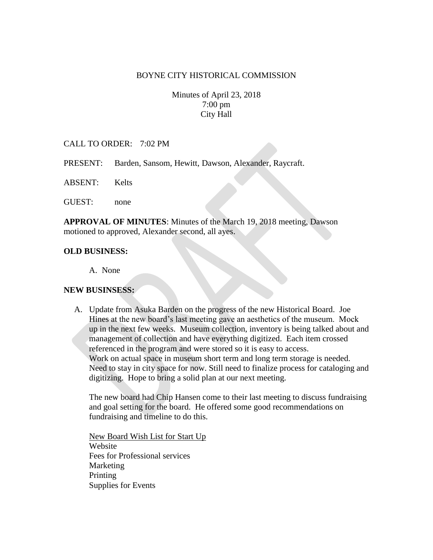#### BOYNE CITY HISTORICAL COMMISSION

Minutes of April 23, 2018 7:00 pm City Hall

### CALL TO ORDER: 7:02 PM

- PRESENT: Barden, Sansom, Hewitt, Dawson, Alexander, Raycraft.
- ABSENT: Kelts

GUEST: none

**APPROVAL OF MINUTES**: Minutes of the March 19, 2018 meeting, Dawson motioned to approved, Alexander second, all ayes.

#### **OLD BUSINESS:**

A. None

### **NEW BUSINSESS:**

A. Update from Asuka Barden on the progress of the new Historical Board. Joe Hines at the new board's last meeting gave an aesthetics of the museum. Mock up in the next few weeks. Museum collection, inventory is being talked about and management of collection and have everything digitized. Each item crossed referenced in the program and were stored so it is easy to access. Work on actual space in museum short term and long term storage is needed. Need to stay in city space for now. Still need to finalize process for cataloging and digitizing. Hope to bring a solid plan at our next meeting.

The new board had Chip Hansen come to their last meeting to discuss fundraising and goal setting for the board. He offered some good recommendations on fundraising and timeline to do this.

New Board Wish List for Start Up Website Fees for Professional services Marketing Printing Supplies for Events